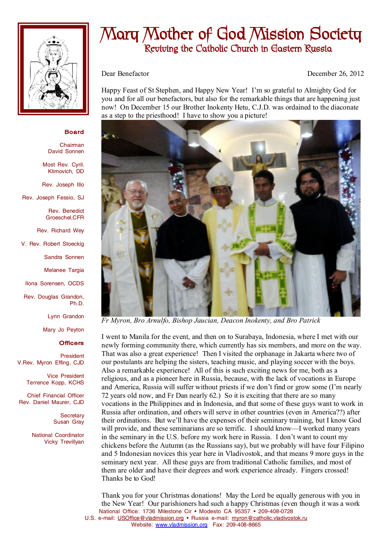

## **Mary Mother of God Mission Society Reviving the Catholic Church in Eastern Russia**

Dear Benefactor December 26, 2012

Happy Feast of St Stephen, and Happy New Year! I'm so grateful to Almighty God for you and for all our benefactors, but also for the remarkable things that are happening just now! On December 15 our Brother Inokenty Hetu, C.J.D. was ordained to the diaconate as a step to the priesthood! I have to show you a picture!



*Fr Myron, Bro Arnulfo, Bishop Jaucian, Deacon Inokenty, and Bro Patrick* 

I went to Manila for the event, and then on to Surabaya, Indonesia, where I met with our newly forming community there, which currently has six members, and more on the way. That was also a great experience! Then I visited the orphanage in Jakarta where two of our postulants are helping the sisters, teaching music, and playing soccer with the boys. Also a remarkable experience! All of this is such exciting news for me, both as a religious, and as a pioneer here in Russia, because, with the lack of vocations in Europe and America, Russia will suffer without priests if we don't find or grow some (I'm nearly 72 years old now, and Fr Dan nearly 62.) So it is exciting that there are so many vocations in the Philippines and in Indonesia, and that some of these guys want to work in Russia after ordination, and others will serve in other countries (even in America??) after their ordinations. But we'll have the expenses of their seminary training, but I know God will provide, and these seminarians are so terrific. I should know—I worked many years in the seminary in the U.S. before my work here in Russia. I don't want to count my chickens before the Autumn (as the Russians say), but we probably will have four Filipino and 5 Indonesian novices this year here in Vladivostok, and that means 9 more guys in the seminary next year. All these guys are from traditional Catholic families, and most of them are older and have their degrees and work experience already. Fingers crossed! Thanks be to God!

National Office: 1736 Milestone Cir • Modesto CA 95357 • 209-408-0728 U.S. e-mail: [USOffice@vladmission.org](mailto:USOffice@vladmission.org) • Russia e-mail: [myron@catholic.vladivostok.ru](mailto:myron@catholic.vladivostok.ru) Website: [www.vladmission.org](http://www.vladmission.org) Fax: 209-408-8665 Thank you for your Christmas donations! May the Lord be equally generous with you in the New Year! Our parishioners had such a happy Christmas (even though it was a work

## **Board**

Chairman David Sonnen

Most Rev. Cyril. Klimovich, DD

Rev. Joseph Illo

Rev. Joseph Fessio, SJ

Rev. Benedict Groeschel,CFR

Rev. Richard Wey

V. Rev. Robert Stoeckig

Sandra Sonnen

Melanee Targia

Ilona Sorensen, OCDS

Rev. Douglas Grandon, Ph.D.

Lynn Grandon

Mary Jo Peyton

## **Officers**

President V.Rev. Myron Effing, CJD

> Vice President Terrence Kopp, KCHS

Chief Financial Officer Rev. Daniel Maurer, CJD

> **Secretary** Susan Gray

National Coordinator Vicky Trevillyan